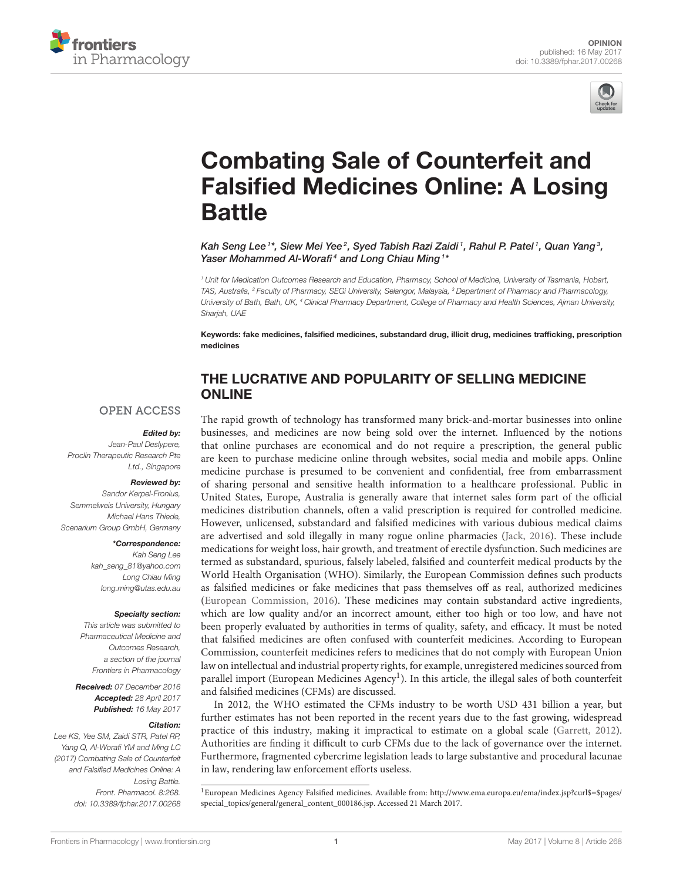



# Combating Sale of Counterfeit and [Falsified Medicines Online: A Losing](http://journal.frontiersin.org/article/10.3389/fphar.2017.00268/full) Battle

Kah Seng Lee $^{\text{\tiny{\texttt{1}}} *}$  Siew Mei Yee $^{\text{\tiny{\texttt{2}}}}$ , Syed Tabish Razi Zaidi $^{\text{\tiny{\texttt{1}}}}$ , Rahul P. Patel $^{\text{\tiny{\texttt{1}}}}$ , Quan Yang $^{\text{\tiny{\texttt{3}}}}$ , [Yaser Mohammed Al-Worafi](http://loop.frontiersin.org/people/426068/overview)<sup>4</sup> and [Long Chiau Ming](http://loop.frontiersin.org/people/385700/overview)<sup>1\*</sup>

<sup>1</sup> Unit for Medication Outcomes Research and Education, Pharmacy, School of Medicine, University of Tasmania, Hobart, TAS, Australia, <sup>2</sup> Faculty of Pharmacy, SEGi University, Selangor, Malaysia, <sup>3</sup> Department of Pharmacy and Pharmacology, University of Bath, Bath, UK, <sup>4</sup> Clinical Pharmacy Department, College of Pharmacy and Health Sciences, Ajman University, Sharjah, UAE

Keywords: fake medicines, falsified medicines, substandard drug, illicit drug, medicines trafficking, prescription medicines

#### THE LUCRATIVE AND POPULARITY OF SELLING MEDICINE ONLINE

#### **OPEN ACCESS**

#### Edited by:

Jean-Paul Deslypere, Proclin Therapeutic Research Pte Ltd., Singapore

#### Reviewed by:

Sandor Kerpel-Fronius, Semmelweis University, Hungary Michael Hans Thiede, Scenarium Group GmbH, Germany

#### \*Correspondence:

Kah Seng Lee [kah\\_seng\\_81@yahoo.com](mailto:kah_seng_81@yahoo.com) Long Chiau Ming [long.ming@utas.edu.au](mailto:long.ming@utas.edu.au)

#### Specialty section:

This article was submitted to Pharmaceutical Medicine and Outcomes Research, a section of the journal Frontiers in Pharmacology

Received: 07 December 2016 Accepted: 28 April 2017 Published: 16 May 2017

#### Citation:

Lee KS, Yee SM, Zaidi STR, Patel RP, Yang Q, Al-Worafi YM and Ming LC (2017) Combating Sale of Counterfeit and Falsified Medicines Online: A Losing Battle. Front. Pharmacol. 8:268. doi: [10.3389/fphar.2017.00268](https://doi.org/10.3389/fphar.2017.00268) The rapid growth of technology has transformed many brick-and-mortar businesses into online businesses, and medicines are now being sold over the internet. Influenced by the notions that online purchases are economical and do not require a prescription, the general public are keen to purchase medicine online through websites, social media and mobile apps. Online medicine purchase is presumed to be convenient and confidential, free from embarrassment of sharing personal and sensitive health information to a healthcare professional. Public in United States, Europe, Australia is generally aware that internet sales form part of the official medicines distribution channels, often a valid prescription is required for controlled medicine. However, unlicensed, substandard and falsified medicines with various dubious medical claims are advertised and sold illegally in many rogue online pharmacies [\(Jack, 2016\)](#page-3-0). These include medications for weight loss, hair growth, and treatment of erectile dysfunction. Such medicines are termed as substandard, spurious, falsely labeled, falsified and counterfeit medical products by the World Health Organisation (WHO). Similarly, the European Commission defines such products as falsified medicines or fake medicines that pass themselves off as real, authorized medicines [\(European Commission, 2016\)](#page-3-1). These medicines may contain substandard active ingredients, which are low quality and/or an incorrect amount, either too high or too low, and have not been properly evaluated by authorities in terms of quality, safety, and efficacy. It must be noted that falsified medicines are often confused with counterfeit medicines. According to European Commission, counterfeit medicines refers to medicines that do not comply with European Union law on intellectual and industrial property rights, for example, unregistered medicines sourced from parallel import (European Medicines Agency<sup>1</sup>). In this article, the illegal sales of both counterfeit and falsified medicines (CFMs) are discussed.

In 2012, the WHO estimated the CFMs industry to be worth USD 431 billion a year, but further estimates has not been reported in the recent years due to the fast growing, widespread practice of this industry, making it impractical to estimate on a global scale [\(Garrett, 2012\)](#page-3-2). Authorities are finding it difficult to curb CFMs due to the lack of governance over the internet. Furthermore, fragmented cybercrime legislation leads to large substantive and procedural lacunae in law, rendering law enforcement efforts useless.

<sup>1</sup>European Medicines Agency Falsified medicines. Available from: [http://www.ema.europa.eu/ema/index.jsp?curl\\$=\\$pages/](http://www.ema.europa.eu/ema/index.jsp?curl$=$pages/special_topics/general/general_content_000186.jsp) [special\\_topics/general/general\\_content\\_000186.jsp.](http://www.ema.europa.eu/ema/index.jsp?curl$=$pages/special_topics/general/general_content_000186.jsp) Accessed 21 March 2017.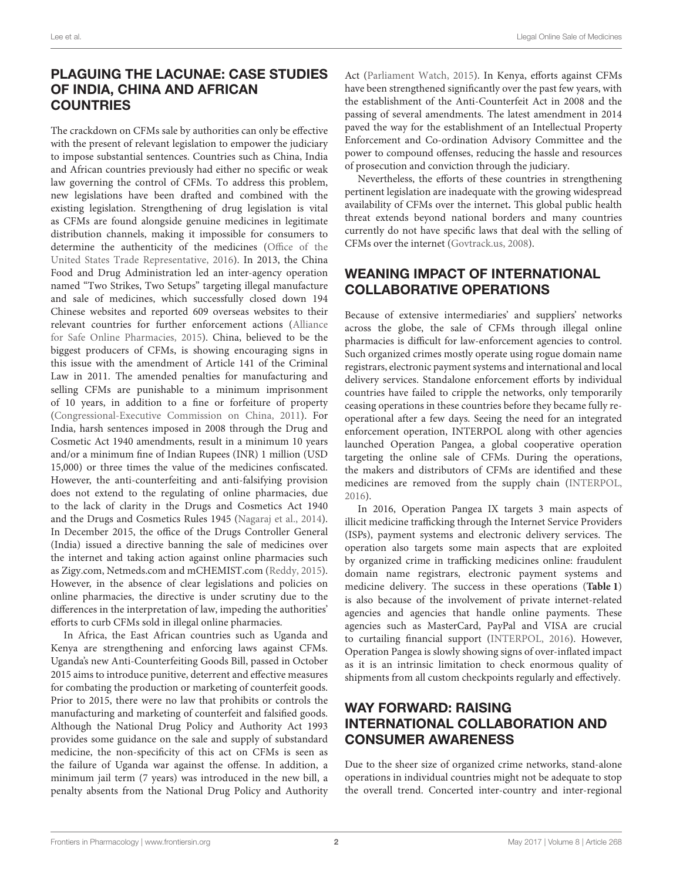# PLAGUING THE LACUNAE: CASE STUDIES OF INDIA, CHINA AND AFRICAN **COUNTRIES**

The crackdown on CFMs sale by authorities can only be effective with the present of relevant legislation to empower the judiciary to impose substantial sentences. Countries such as China, India and African countries previously had either no specific or weak law governing the control of CFMs. To address this problem, new legislations have been drafted and combined with the existing legislation. Strengthening of drug legislation is vital as CFMs are found alongside genuine medicines in legitimate distribution channels, making it impossible for consumers to determine the authenticity of the medicines (Office of the United States Trade Representative, [2016\)](#page-3-3). In 2013, the China Food and Drug Administration led an inter-agency operation named "Two Strikes, Two Setups" targeting illegal manufacture and sale of medicines, which successfully closed down 194 Chinese websites and reported 609 overseas websites to their relevant countries for further enforcement actions (Alliance for Safe Online Pharmacies, [2015\)](#page-3-4). China, believed to be the biggest producers of CFMs, is showing encouraging signs in this issue with the amendment of Article 141 of the Criminal Law in 2011. The amended penalties for manufacturing and selling CFMs are punishable to a minimum imprisonment of 10 years, in addition to a fine or forfeiture of property [\(Congressional-Executive Commission on China, 2011\)](#page-3-5). For India, harsh sentences imposed in 2008 through the Drug and Cosmetic Act 1940 amendments, result in a minimum 10 years and/or a minimum fine of Indian Rupees (INR) 1 million (USD 15,000) or three times the value of the medicines confiscated. However, the anti-counterfeiting and anti-falsifying provision does not extend to the regulating of online pharmacies, due to the lack of clarity in the Drugs and Cosmetics Act 1940 and the Drugs and Cosmetics Rules 1945 [\(Nagaraj et al., 2014\)](#page-3-6). In December 2015, the office of the Drugs Controller General (India) issued a directive banning the sale of medicines over the internet and taking action against online pharmacies such as Zigy.com, Netmeds.com and mCHEMIST.com [\(Reddy, 2015\)](#page-3-7). However, in the absence of clear legislations and policies on online pharmacies, the directive is under scrutiny due to the differences in the interpretation of law, impeding the authorities' efforts to curb CFMs sold in illegal online pharmacies.

In Africa, the East African countries such as Uganda and Kenya are strengthening and enforcing laws against CFMs. Uganda's new Anti-Counterfeiting Goods Bill, passed in October 2015 aims to introduce punitive, deterrent and effective measures for combating the production or marketing of counterfeit goods. Prior to 2015, there were no law that prohibits or controls the manufacturing and marketing of counterfeit and falsified goods. Although the National Drug Policy and Authority Act 1993 provides some guidance on the sale and supply of substandard medicine, the non-specificity of this act on CFMs is seen as the failure of Uganda war against the offense. In addition, a minimum jail term (7 years) was introduced in the new bill, a penalty absents from the National Drug Policy and Authority Act [\(Parliament Watch, 2015\)](#page-3-8). In Kenya, efforts against CFMs have been strengthened significantly over the past few years, with the establishment of the Anti-Counterfeit Act in 2008 and the passing of several amendments. The latest amendment in 2014 paved the way for the establishment of an Intellectual Property Enforcement and Co-ordination Advisory Committee and the power to compound offenses, reducing the hassle and resources of prosecution and conviction through the judiciary.

Nevertheless, the efforts of these countries in strengthening pertinent legislation are inadequate with the growing widespread availability of CFMs over the internet**.** This global public health threat extends beyond national borders and many countries currently do not have specific laws that deal with the selling of CFMs over the internet [\(Govtrack.us, 2008\)](#page-3-9).

### WEANING IMPACT OF INTERNATIONAL COLLABORATIVE OPERATIONS

Because of extensive intermediaries' and suppliers' networks across the globe, the sale of CFMs through illegal online pharmacies is difficult for law-enforcement agencies to control. Such organized crimes mostly operate using rogue domain name registrars, electronic payment systems and international and local delivery services. Standalone enforcement efforts by individual countries have failed to cripple the networks, only temporarily ceasing operations in these countries before they became fully reoperational after a few days. Seeing the need for an integrated enforcement operation, INTERPOL along with other agencies launched Operation Pangea, a global cooperative operation targeting the online sale of CFMs. During the operations, the makers and distributors of CFMs are identified and these medicines are removed from the supply chain [\(INTERPOL,](#page-3-10) [2016\)](#page-3-10).

In 2016, Operation Pangea IX targets 3 main aspects of illicit medicine trafficking through the Internet Service Providers (ISPs), payment systems and electronic delivery services. The operation also targets some main aspects that are exploited by organized crime in trafficking medicines online: fraudulent domain name registrars, electronic payment systems and medicine delivery. The success in these operations (**[Table 1](#page-2-0)**) is also because of the involvement of private internet-related agencies and agencies that handle online payments. These agencies such as MasterCard, PayPal and VISA are crucial to curtailing financial support [\(INTERPOL, 2016\)](#page-3-10). However, Operation Pangea is slowly showing signs of over-inflated impact as it is an intrinsic limitation to check enormous quality of shipments from all custom checkpoints regularly and effectively.

# WAY FORWARD: RAISING INTERNATIONAL COLLABORATION AND CONSUMER AWARENESS

Due to the sheer size of organized crime networks, stand-alone operations in individual countries might not be adequate to stop the overall trend. Concerted inter-country and inter-regional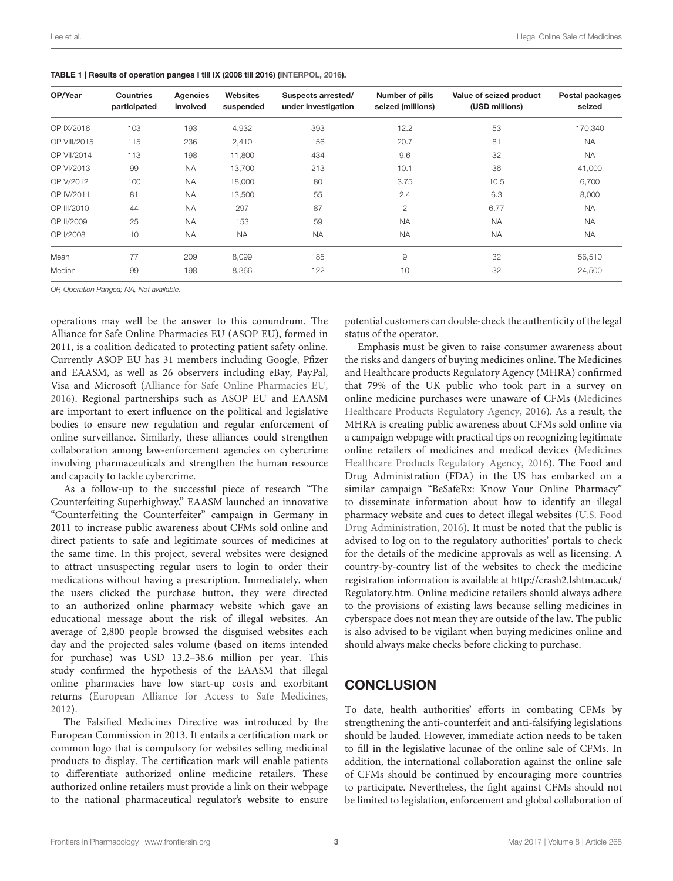| OP/Year      | <b>Countries</b><br>participated | <b>Agencies</b><br>involved | <b>Websites</b><br>suspended | Suspects arrested/<br>under investigation | Number of pills<br>seized (millions) | Value of seized product<br>(USD millions) | Postal packages<br>seized |
|--------------|----------------------------------|-----------------------------|------------------------------|-------------------------------------------|--------------------------------------|-------------------------------------------|---------------------------|
| OP IX/2016   | 103                              | 193                         | 4,932                        | 393                                       | 12.2                                 | 53                                        | 170,340                   |
| OP VIII/2015 | 115                              | 236                         | 2,410                        | 156                                       | 20.7                                 | 81                                        | <b>NA</b>                 |
| OP VII/2014  | 113                              | 198                         | 11,800                       | 434                                       | 9.6                                  | 32                                        | <b>NA</b>                 |
| OP VI/2013   | 99                               | <b>NA</b>                   | 13,700                       | 213                                       | 10.1                                 | 36                                        | 41,000                    |
| OP V/2012    | 100                              | <b>NA</b>                   | 18,000                       | 80                                        | 3.75                                 | 10.5                                      | 6,700                     |
| OP IV/2011   | 81                               | <b>NA</b>                   | 13,500                       | 55                                        | 2.4                                  | 6.3                                       | 8,000                     |
| OP III/2010  | 44                               | <b>NA</b>                   | 297                          | 87                                        | $\overline{c}$                       | 6.77                                      | <b>NA</b>                 |
| OP II/2009   | 25                               | <b>NA</b>                   | 153                          | 59                                        | <b>NA</b>                            | <b>NA</b>                                 | <b>NA</b>                 |
| OP I/2008    | 10                               | <b>NA</b>                   | <b>NA</b>                    | <b>NA</b>                                 | <b>NA</b>                            | <b>NA</b>                                 | <b>NA</b>                 |
| Mean         | 77                               | 209                         | 8,099                        | 185                                       | 9                                    | 32                                        | 56,510                    |
| Median       | 99                               | 198                         | 8,366                        | 122                                       | 10                                   | 32                                        | 24,500                    |

<span id="page-2-0"></span>TABLE 1 | Results of operation pangea I till IX (2008 till 2016) [\(INTERPOL, 2016\)](#page-3-10).

OP, Operation Pangea; NA, Not available.

operations may well be the answer to this conundrum. The Alliance for Safe Online Pharmacies EU (ASOP EU), formed in 2011, is a coalition dedicated to protecting patient safety online. Currently ASOP EU has 31 members including Google, Pfizer and EAASM, as well as 26 observers including eBay, PayPal, Visa and Microsoft [\(Alliance for Safe Online Pharmacies EU,](#page-3-11) [2016\)](#page-3-11). Regional partnerships such as ASOP EU and EAASM are important to exert influence on the political and legislative bodies to ensure new regulation and regular enforcement of online surveillance. Similarly, these alliances could strengthen collaboration among law-enforcement agencies on cybercrime involving pharmaceuticals and strengthen the human resource and capacity to tackle cybercrime.

As a follow-up to the successful piece of research "The Counterfeiting Superhighway," EAASM launched an innovative "Counterfeiting the Counterfeiter" campaign in Germany in 2011 to increase public awareness about CFMs sold online and direct patients to safe and legitimate sources of medicines at the same time. In this project, several websites were designed to attract unsuspecting regular users to login to order their medications without having a prescription. Immediately, when the users clicked the purchase button, they were directed to an authorized online pharmacy website which gave an educational message about the risk of illegal websites. An average of 2,800 people browsed the disguised websites each day and the projected sales volume (based on items intended for purchase) was USD 13.2–38.6 million per year. This study confirmed the hypothesis of the EAASM that illegal online pharmacies have low start-up costs and exorbitant returns [\(European Alliance for Access to Safe Medicines,](#page-3-12) [2012\)](#page-3-12).

The Falsified Medicines Directive was introduced by the European Commission in 2013. It entails a certification mark or common logo that is compulsory for websites selling medicinal products to display. The certification mark will enable patients to differentiate authorized online medicine retailers. These authorized online retailers must provide a link on their webpage to the national pharmaceutical regulator's website to ensure potential customers can double-check the authenticity of the legal status of the operator.

Emphasis must be given to raise consumer awareness about the risks and dangers of buying medicines online. The Medicines and Healthcare products Regulatory Agency (MHRA) confirmed that 79% of the UK public who took part in a survey on online medicine purchases were unaware of CFMs (Medicines Healthcare Products Regulatory Agency, [2016\)](#page-3-13). As a result, the MHRA is creating public awareness about CFMs sold online via a campaign webpage with practical tips on recognizing legitimate online retailers of medicines and medical devices (Medicines Healthcare Products Regulatory Agency, [2016\)](#page-3-13). The Food and Drug Administration (FDA) in the US has embarked on a similar campaign "BeSafeRx: Know Your Online Pharmacy" to disseminate information about how to identify an illegal pharmacy website and cues to detect illegal websites (U.S. Food Drug Administration, [2016\)](#page-3-14). It must be noted that the public is advised to log on to the regulatory authorities' portals to check for the details of the medicine approvals as well as licensing. A country-by-country list of the websites to check the medicine registration information is available at [http://crash2.lshtm.ac.uk/](http://crash2.lshtm.ac.uk/Regulatory.htm) [Regulatory.htm.](http://crash2.lshtm.ac.uk/Regulatory.htm) Online medicine retailers should always adhere to the provisions of existing laws because selling medicines in cyberspace does not mean they are outside of the law. The public is also advised to be vigilant when buying medicines online and should always make checks before clicking to purchase.

### **CONCLUSION**

To date, health authorities' efforts in combating CFMs by strengthening the anti-counterfeit and anti-falsifying legislations should be lauded. However, immediate action needs to be taken to fill in the legislative lacunae of the online sale of CFMs. In addition, the international collaboration against the online sale of CFMs should be continued by encouraging more countries to participate. Nevertheless, the fight against CFMs should not be limited to legislation, enforcement and global collaboration of